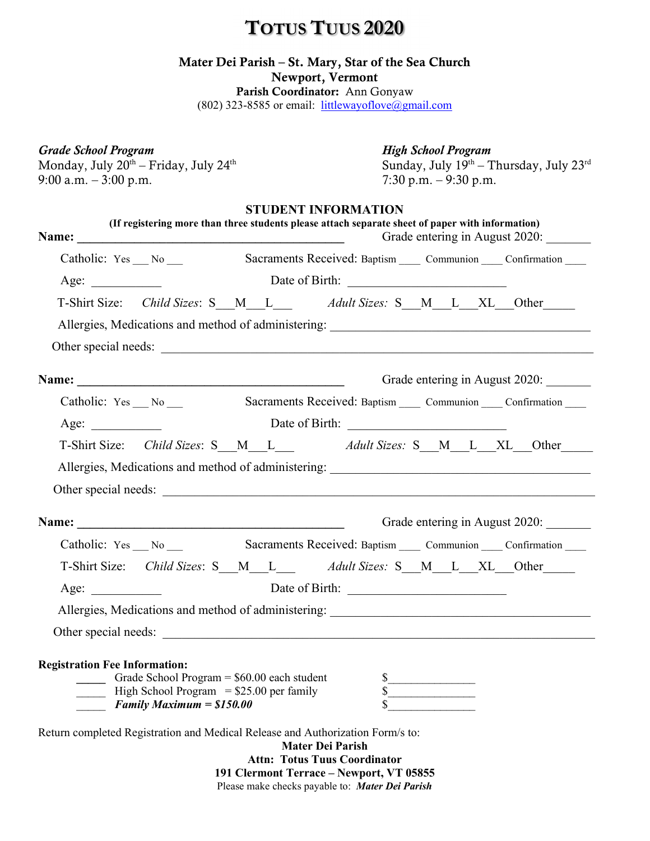# TOTUS TUUS 2020

### Mater Dei Parish – St. Mary, Star of the Sea Church

Newport, Vermont

Parish Coordinator: Ann Gonyaw (802) 323-8585 or email:  $littlewayoflove@gmail.com$ </u>

### Grade School Program The Contract of the High School Program

Monday, July  $20^{th}$  – Friday, July  $24^{th}$ <br>9:00 a.m. – 3:00 p.m.

Sunday, July 19th - Thursday, July 23rd 7:30 p.m. – 9:30 p.m.

### STUDENT INFORMATION

|                                                                                | (If registering more than three students please attach separate sheet of paper with information)<br>Grade entering in August 2020: |  |                                                                                                                                            |                                                                            |  |                                                                |  |  |                             |  |                                                                                   |
|--------------------------------------------------------------------------------|------------------------------------------------------------------------------------------------------------------------------------|--|--------------------------------------------------------------------------------------------------------------------------------------------|----------------------------------------------------------------------------|--|----------------------------------------------------------------|--|--|-----------------------------|--|-----------------------------------------------------------------------------------|
| Catholic: $Yes \_\_No \_\_$                                                    |                                                                                                                                    |  |                                                                                                                                            |                                                                            |  |                                                                |  |  |                             |  | Sacraments Received: Baptism Communion Confirmation                               |
| Age: $\qquad \qquad$                                                           |                                                                                                                                    |  |                                                                                                                                            |                                                                            |  |                                                                |  |  |                             |  |                                                                                   |
|                                                                                |                                                                                                                                    |  |                                                                                                                                            |                                                                            |  |                                                                |  |  |                             |  | T-Shirt Size: Child Sizes: S M L Adult Sizes: S M L XL Other                      |
|                                                                                |                                                                                                                                    |  |                                                                                                                                            |                                                                            |  |                                                                |  |  |                             |  | Allergies, Medications and method of administering: _____________________________ |
|                                                                                |                                                                                                                                    |  |                                                                                                                                            |                                                                            |  |                                                                |  |  |                             |  |                                                                                   |
|                                                                                |                                                                                                                                    |  |                                                                                                                                            |                                                                            |  |                                                                |  |  |                             |  | Grade entering in August 2020:                                                    |
|                                                                                |                                                                                                                                    |  |                                                                                                                                            |                                                                            |  |                                                                |  |  |                             |  | Catholic: Yes No Sacraments Received: Baptism Communion Confirmation              |
| Age:                                                                           |                                                                                                                                    |  |                                                                                                                                            |                                                                            |  | Date of Birth:                                                 |  |  |                             |  |                                                                                   |
|                                                                                |                                                                                                                                    |  |                                                                                                                                            |                                                                            |  |                                                                |  |  |                             |  | T-Shirt Size: Child Sizes: S M L Adult Sizes: S M L XL Other                      |
|                                                                                |                                                                                                                                    |  |                                                                                                                                            |                                                                            |  |                                                                |  |  |                             |  | Allergies, Medications and method of administering: _____________________________ |
|                                                                                |                                                                                                                                    |  |                                                                                                                                            |                                                                            |  |                                                                |  |  |                             |  |                                                                                   |
|                                                                                |                                                                                                                                    |  |                                                                                                                                            |                                                                            |  |                                                                |  |  |                             |  |                                                                                   |
|                                                                                |                                                                                                                                    |  |                                                                                                                                            |                                                                            |  |                                                                |  |  |                             |  | Grade entering in August 2020:                                                    |
|                                                                                |                                                                                                                                    |  |                                                                                                                                            |                                                                            |  |                                                                |  |  |                             |  | Catholic: Yes No Sacraments Received: Baptism Communion Confirmation              |
|                                                                                |                                                                                                                                    |  |                                                                                                                                            |                                                                            |  |                                                                |  |  |                             |  | T-Shirt Size: Child Sizes: S M L Adult Sizes: S M L XL Other                      |
| Age:                                                                           |                                                                                                                                    |  |                                                                                                                                            |                                                                            |  |                                                                |  |  |                             |  |                                                                                   |
|                                                                                |                                                                                                                                    |  |                                                                                                                                            |                                                                            |  |                                                                |  |  |                             |  | Allergies, Medications and method of administering: _____________________________ |
|                                                                                |                                                                                                                                    |  |                                                                                                                                            |                                                                            |  |                                                                |  |  |                             |  | Other special needs:                                                              |
| <b>Registration Fee Information:</b>                                           |                                                                                                                                    |  | Grade School Program = $$60.00$ each student<br>$\frac{1}{2}$ High School Program = \$25.00 per family<br><b>Family Maximum = \$150.00</b> |                                                                            |  |                                                                |  |  | $\frac{\text{S}}{\text{S}}$ |  |                                                                                   |
| Return completed Registration and Medical Release and Authorization Form/s to: |                                                                                                                                    |  |                                                                                                                                            | $\overline{A}$ $\overline{A}$ $\overline{A}$ $\overline{A}$ $\overline{A}$ |  | <b>Mater Dei Parish</b><br><b>Attn: Totus Tuus Coordinator</b> |  |  |                             |  |                                                                                   |

191 Clermont Terrace – Newport, VT 05855 Please make checks payable to: Mater Dei Parish